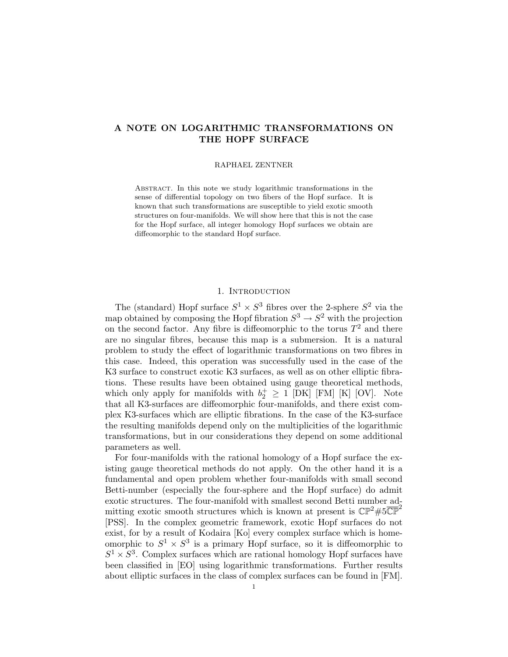# A NOTE ON LOGARITHMIC TRANSFORMATIONS ON THE HOPF SURFACE

### RAPHAEL ZENTNER

Abstract. In this note we study logarithmic transformations in the sense of differential topology on two fibers of the Hopf surface. It is known that such transformations are susceptible to yield exotic smooth structures on four-manifolds. We will show here that this is not the case for the Hopf surface, all integer homology Hopf surfaces we obtain are diffeomorphic to the standard Hopf surface.

## 1. INTRODUCTION

The (standard) Hopf surface  $S^1 \times S^3$  fibres over the 2-sphere  $S^2$  via the map obtained by composing the Hopf fibration  $S^3 \to S^2$  with the projection on the second factor. Any fibre is diffeomorphic to the torus  $T^2$  and there are no singular fibres, because this map is a submersion. It is a natural problem to study the effect of logarithmic transformations on two fibres in this case. Indeed, this operation was successfully used in the case of the K3 surface to construct exotic K3 surfaces, as well as on other elliptic fibrations. These results have been obtained using gauge theoretical methods, which only apply for manifolds with  $b_2^+ \geq 1$  [DK] [FM] [K] [OV]. Note that all K3-surfaces are diffeomorphic four-manifolds, and there exist complex K3-surfaces which are elliptic fibrations. In the case of the K3-surface the resulting manifolds depend only on the multiplicities of the logarithmic transformations, but in our considerations they depend on some additional parameters as well.

For four-manifolds with the rational homology of a Hopf surface the existing gauge theoretical methods do not apply. On the other hand it is a fundamental and open problem whether four-manifolds with small second Betti-number (especially the four-sphere and the Hopf surface) do admit exotic structures. The four-manifold with smallest second Betti number admitting exotic smooth structures which is known at present is  $\mathbb{CP}^2 \# 5\overline{\mathbb{CP}}^2$ [PSS]. In the complex geometric framework, exotic Hopf surfaces do not exist, for by a result of Kodaira [Ko] every complex surface which is homeomorphic to  $S^1 \times S^3$  is a primary Hopf surface, so it is diffeomorphic to  $S^1 \times S^3$ . Complex surfaces which are rational homology Hopf surfaces have been classified in [EO] using logarithmic transformations. Further results about elliptic surfaces in the class of complex surfaces can be found in [FM].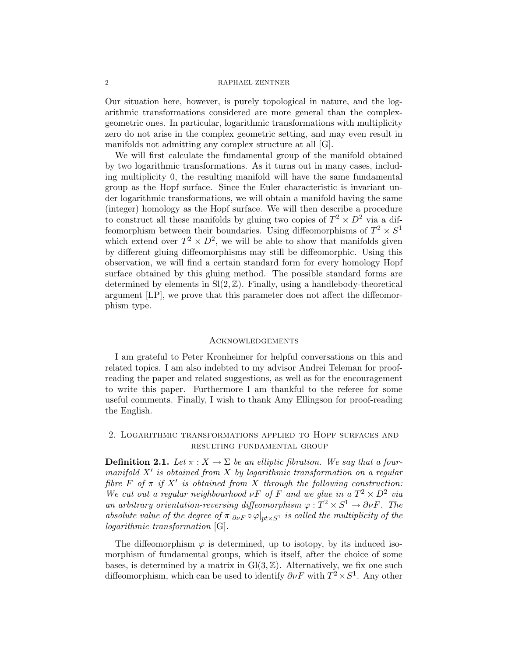#### 2 RAPHAEL ZENTNER

Our situation here, however, is purely topological in nature, and the logarithmic transformations considered are more general than the complexgeometric ones. In particular, logarithmic transformations with multiplicity zero do not arise in the complex geometric setting, and may even result in manifolds not admitting any complex structure at all [G].

We will first calculate the fundamental group of the manifold obtained by two logarithmic transformations. As it turns out in many cases, including multiplicity 0, the resulting manifold will have the same fundamental group as the Hopf surface. Since the Euler characteristic is invariant under logarithmic transformations, we will obtain a manifold having the same (integer) homology as the Hopf surface. We will then describe a procedure to construct all these manifolds by gluing two copies of  $T^2 \times D^2$  via a diffeomorphism between their boundaries. Using diffeomorphisms of  $T^2 \times S^1$ which extend over  $T^2 \times D^2$ , we will be able to show that manifolds given by different gluing diffeomorphisms may still be diffeomorphic. Using this observation, we will find a certain standard form for every homology Hopf surface obtained by this gluing method. The possible standard forms are determined by elements in  $Sl(2, \mathbb{Z})$ . Finally, using a handlebody-theoretical argument [LP], we prove that this parameter does not affect the diffeomorphism type.

### **ACKNOWLEDGEMENTS**

I am grateful to Peter Kronheimer for helpful conversations on this and related topics. I am also indebted to my advisor Andrei Teleman for proofreading the paper and related suggestions, as well as for the encouragement to write this paper. Furthermore I am thankful to the referee for some useful comments. Finally, I wish to thank Amy Ellingson for proof-reading the English.

# 2. Logarithmic transformations applied to Hopf surfaces and resulting fundamental group

**Definition 2.1.** Let  $\pi$  :  $X \to \Sigma$  be an elliptic fibration. We say that a fourmanifold  $X'$  is obtained from  $X$  by logarithmic transformation on a regular fibre  $F$  of  $\pi$  if  $X'$  is obtained from  $X$  through the following construction: We cut out a regular neighbourhood  $\nu F$  of F and we glue in a  $T^2 \times D^2$  via an arbitrary orientation-reversing diffeomorphism  $\varphi: T^2 \times S^1 \to \partial \nu F$ . The absolute value of the degree of  $\pi|_{\partial v} \circ \varphi|_{pt \times S^1}$  is called the multiplicity of the logarithmic transformation [G].

The diffeomorphism  $\varphi$  is determined, up to isotopy, by its induced isomorphism of fundamental groups, which is itself, after the choice of some bases, is determined by a matrix in  $Gl(3,\mathbb{Z})$ . Alternatively, we fix one such diffeomorphism, which can be used to identify  $\partial v F$  with  $T^2 \times S^1$ . Any other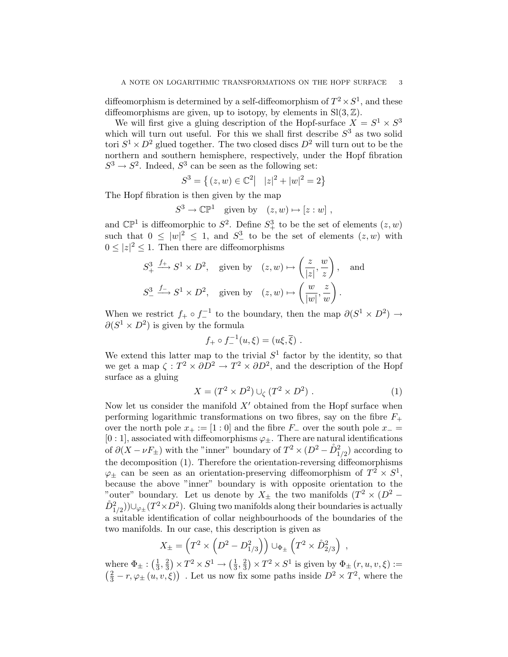diffeomorphism is determined by a self-diffeomorphism of  $T^2 \times S^1$ , and these diffeomorphisms are given, up to isotopy, by elements in  $Sl(3, \mathbb{Z})$ .

We will first give a gluing description of the Hopf-surface  $X = S^1 \times S^3$ which will turn out useful. For this we shall first describe  $S<sup>3</sup>$  as two solid tori  $S^1 \times D^2$  glued together. The two closed discs  $D^2$  will turn out to be the northern and southern hemisphere, respectively, under the Hopf fibration  $S^3 \to S^2$ . Indeed,  $S^3$  can be seen as the following set:

$$
S^{3} = \{(z, w) \in \mathbb{C}^{2} \mid |z|^{2} + |w|^{2} = 2\}
$$

The Hopf fibration is then given by the map

$$
S^3 \to \mathbb{CP}^1 \quad \text{given by} \quad (z, w) \mapsto [z : w] ,
$$

and  $\mathbb{CP}^1$  is diffeomorphic to  $S^2$ . Define  $S^3_+$  to be the set of elements  $(z, w)$ such that  $0 \leq |w|^2 \leq 1$ , and  $S^3$  to be the set of elements  $(z, w)$  with  $0 \leq |z|^2 \leq 1$ . Then there are diffeomorphisms

$$
S_+^3 \xrightarrow{f_+} S^1 \times D^2, \quad \text{given by} \quad (z, w) \mapsto \left(\frac{z}{|z|}, \frac{w}{z}\right), \quad \text{and}
$$
  

$$
S_-^3 \xrightarrow{f_-} S^1 \times D^2, \quad \text{given by} \quad (z, w) \mapsto \left(\frac{w}{|w|}, \frac{z}{w}\right).
$$

When we restrict  $f_+ \circ f_-^{-1}$  to the boundary, then the map  $\partial (S^1 \times D^2) \rightarrow$  $\partial(S^1 \times D^2)$  is given by the formula

$$
f_+ \circ f_-^{-1}(u, \xi) = (u\xi, \overline{\xi})
$$
.

We extend this latter map to the trivial  $S<sup>1</sup>$  factor by the identity, so that we get a map  $\zeta: T^2 \times \partial D^2 \to T^2 \times \partial D^2$ , and the description of the Hopf surface as a gluing

$$
X = (T^2 \times D^2) \cup_{\zeta} (T^2 \times D^2) . \tag{1}
$$

,

Now let us consider the manifold  $X'$  obtained from the Hopf surface when performing logarithmic transformations on two fibres, say on the fibre  $F_+$ over the north pole  $x_+ := [1:0]$  and the fibre  $F_$  over the south pole  $x_-=$  $[0:1]$ , associated with diffeomorphisms  $\varphi_{\pm}$ . There are natural identifications of  $\partial (X - \nu F_{\pm})$  with the "inner" boundary of  $T^2 \times (D^2 - \mathring{D}^2_{1/2})$  according to the decomposition (1). Therefore the orientation-reversing diffeomorphisms  $\varphi_{\pm}$  can be seen as an orientation-preserving diffeomorphism of  $T^2 \times S^1$ , because the above "inner" boundary is with opposite orientation to the "outer" boundary. Let us denote by  $X_{\pm}$  the two manifolds  $(T^2 \times (D^2 \hat{D}_{1/2}^2$ ))∪ $\varphi_{\pm}(T^2 \times D^2)$ . Gluing two manifolds along their boundaries is actually a suitable identification of collar neighbourhoods of the boundaries of the two manifolds. In our case, this description is given as

$$
X_{\pm} = \left(T^2 \times \left(D^2 - D_{1/3}^2\right)\right) \cup_{\Phi_{\pm}} \left(T^2 \times \mathring{D}_{2/3}^2\right)
$$

where  $\Phi_{\pm}$  :  $\left(\frac{1}{3}\right)$  $\frac{1}{3}, \frac{2}{3}$  $\frac{2}{3}$   $\times T^2 \times S^1 \rightarrow \left(\frac{1}{3}\right)$  $\frac{1}{3}, \frac{2}{3}$  $(\frac{2}{3}) \times T^2 \times S^1$  is given by  $\Phi_{\pm}(r, u, v, \xi) :=$  $\left(\frac{2}{3}-r,\varphi_{\pm}\left(u,v,\xi\right)\right)$ . Let us now fix some paths inside  $D^2 \times T^2$ , where the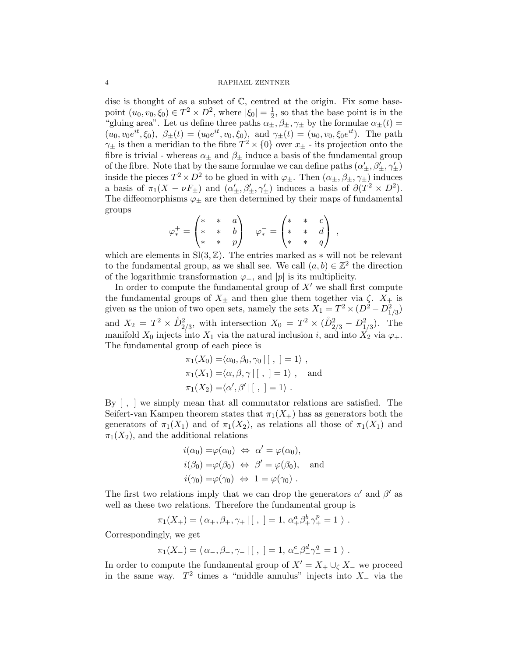### 4 RAPHAEL ZENTNER

disc is thought of as a subset of  $\mathbb{C}$ , centred at the origin. Fix some basepoint  $(u_0, v_0, \xi_0) \in T^2 \times D^2$ , where  $|\xi_0| = \frac{1}{2}$  $\frac{1}{2}$ , so that the base point is in the "gluing area". Let us define three paths  $\alpha_{\pm}, \beta_{\pm}, \gamma_{\pm}$  by the formulae  $\alpha_{\pm}(t)$  =  $(u_0, v_0e^{it}, \xi_0), \ \beta_{\pm}(t) = (u_0e^{it}, v_0, \xi_0), \text{ and } \gamma_{\pm}(t) = (u_0, v_0, \xi_0e^{it}).$  The path  $\gamma_{\pm}$  is then a meridian to the fibre  $T^2 \times \{0\}$  over  $x_{\pm}$  - its projection onto the fibre is trivial - whereas  $\alpha_{\pm}$  and  $\beta_{\pm}$  induce a basis of the fundamental group of the fibre. Note that by the same formulae we can define paths  $(\alpha'_{\pm},\beta'_{\pm},\gamma'_{\pm})$ inside the pieces  $T^2 \times D^2$  to be glued in with  $\varphi_{\pm}$ . Then  $(\alpha_{\pm}, \beta_{\pm}, \gamma_{\pm})$  induces a basis of  $\pi_1(X - \nu F_{\pm})$  and  $(\alpha'_{\pm}, \beta'_{\pm}, \gamma'_{\pm})$  induces a basis of  $\partial(T^2 \times D^2)$ . The diffeomorphisms  $\varphi_{\pm}$  are then determined by their maps of fundamental groups

$$
\varphi^+_* = \begin{pmatrix} * & * & a \\ * & * & b \\ * & * & p \end{pmatrix} \quad \varphi^-_* = \begin{pmatrix} * & * & c \\ * & * & d \\ * & * & q \end{pmatrix} ,
$$

which are elements in  $Sl(3, \mathbb{Z})$ . The entries marked as  $*$  will not be relevant to the fundamental group, as we shall see. We call  $(a, b) \in \mathbb{Z}^2$  the direction of the logarithmic transformation  $\varphi_+$ , and  $|p|$  is its multiplicity.

In order to compute the fundamental group of  $X'$  we shall first compute the fundamental groups of  $X_{\pm}$  and then glue them together via  $\zeta$ .  $X_{+}$  is given as the union of two open sets, namely the sets  $X_1 = T^2 \times (D^2 - D^2_{1/3})$ and  $X_2 = T^2 \times \mathring{D}_{2/3}^2$ , with intersection  $X_0 = T^2 \times (\mathring{D}_{2/3}^2 - D_{1/3}^2)$ . The manifold  $X_0$  injects into  $X_1$  via the natural inclusion i, and into  $X_2$  via  $\varphi_+$ . The fundamental group of each piece is

$$
\pi_1(X_0) = \langle \alpha_0, \beta_0, \gamma_0 | [ , ] = 1 \rangle ,
$$
  
\n
$$
\pi_1(X_1) = \langle \alpha, \beta, \gamma | [ , ] = 1 \rangle ,
$$
 and  
\n
$$
\pi_1(X_2) = \langle \alpha', \beta' | [ , ] = 1 \rangle .
$$

By [ , ] we simply mean that all commutator relations are satisfied. The Seifert-van Kampen theorem states that  $\pi_1(X_+)$  has as generators both the generators of  $\pi_1(X_1)$  and of  $\pi_1(X_2)$ , as relations all those of  $\pi_1(X_1)$  and  $\pi_1(X_2)$ , and the additional relations

$$
i(\alpha_0) = \varphi(\alpha_0) \Leftrightarrow \alpha' = \varphi(\alpha_0),
$$
  
\n
$$
i(\beta_0) = \varphi(\beta_0) \Leftrightarrow \beta' = \varphi(\beta_0),
$$
 and  
\n
$$
i(\gamma_0) = \varphi(\gamma_0) \Leftrightarrow 1 = \varphi(\gamma_0).
$$

The first two relations imply that we can drop the generators  $\alpha'$  and  $\beta'$  as well as these two relations. Therefore the fundamental group is

$$
\pi_1(X_+) = \langle \alpha_+, \beta_+, \gamma_+ | [ \ , \ ] = 1, \ \alpha_+^a \beta_+^b \gamma_+^p = 1 \ \rangle \ .
$$

Correspondingly, we get

$$
\pi_1(X_-) = \langle \alpha_-, \beta_-, \gamma_- \, | \, [ \ , \ ] = 1, \ \alpha_-^c \beta_-^d \gamma_-^q = 1 \ \rangle \ .
$$

In order to compute the fundamental group of  $X' = X_+ \cup_{\zeta} X_-\,$  we proceed in the same way.  $T^2$  times a "middle annulus" injects into  $X_-\,$  via the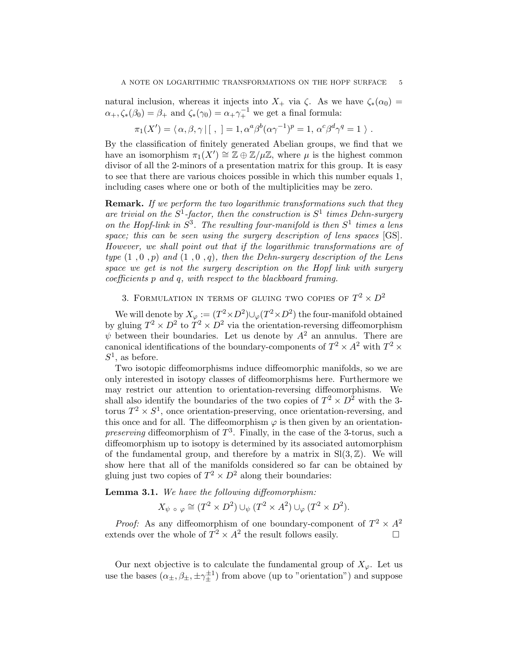natural inclusion, whereas it injects into  $X_+$  via  $\zeta$ . As we have  $\zeta_*(\alpha_0)$  =  $\alpha_+, \zeta_*(\beta_0) = \beta_+$  and  $\zeta_*(\gamma_0) = \alpha_+ \gamma_+^{-1}$  we get a final formula:

$$
\pi_1(X') = \langle \alpha, \beta, \gamma | [ , ] = 1, \alpha^a \beta^b (\alpha \gamma^{-1})^p = 1, \alpha^c \beta^d \gamma^q = 1 \rangle.
$$

By the classification of finitely generated Abelian groups, we find that we have an isomorphism  $\pi_1(X') \cong \mathbb{Z} \oplus \mathbb{Z}/\mu\mathbb{Z}$ , where  $\mu$  is the highest common divisor of all the 2-minors of a presentation matrix for this group. It is easy to see that there are various choices possible in which this number equals 1, including cases where one or both of the multiplicities may be zero.

**Remark.** If we perform the two logarithmic transformations such that they are trivial on the  $S^1$ -factor, then the construction is  $S^1$  times Dehn-surgery on the Hopf-link in  $S^3$ . The resulting four-manifold is then  $S^1$  times a lens space; this can be seen using the surgery description of lens spaces [GS]. However, we shall point out that if the logarithmic transformations are of type  $(1, 0, p)$  and  $(1, 0, q)$ , then the Dehn-surgery description of the Lens space we get is not the surgery description on the Hopf link with surgery coefficients p and q, with respect to the blackboard framing.

# 3. FORMULATION IN TERMS OF GLUING TWO COPIES OF  $T^2 \times D^2$

We will denote by  $X_{\varphi} := (T^2 \times D^2) \cup_{\varphi} (T^2 \times D^2)$  the four-manifold obtained by gluing  $T^2 \times D^2$  to  $T^2 \times D^2$  via the orientation-reversing diffeomorphism  $\psi$  between their boundaries. Let us denote by  $A^2$  an annulus. There are canonical identifications of the boundary-components of  $T^2 \times A^2$  with  $T^2 \times$  $S^1$ , as before.

Two isotopic diffeomorphisms induce diffeomorphic manifolds, so we are only interested in isotopy classes of diffeomorphisms here. Furthermore we may restrict our attention to orientation-reversing diffeomorphisms. We shall also identify the boundaries of the two copies of  $T^2 \times D^2$  with the 3torus  $T^2 \times S^1$ , once orientation-preserving, once orientation-reversing, and this once and for all. The diffeomorphism  $\varphi$  is then given by an orientation*preserving* diffeomorphism of  $T^3$ . Finally, in the case of the 3-torus, such a diffeomorphism up to isotopy is determined by its associated automorphism of the fundamental group, and therefore by a matrix in  $SI(3, \mathbb{Z})$ . We will show here that all of the manifolds considered so far can be obtained by gluing just two copies of  $T^2 \times D^2$  along their boundaries:

Lemma 3.1. We have the following diffeomorphism:

$$
X_{\psi} \circ \varphi \cong (T^2 \times D^2) \cup_{\psi} (T^2 \times A^2) \cup_{\varphi} (T^2 \times D^2).
$$

*Proof:* As any diffeomorphism of one boundary-component of  $T^2 \times A^2$ extends over the whole of  $T^2 \times A^2$  the result follows easily.

Our next objective is to calculate the fundamental group of  $X_{\varphi}$ . Let us use the bases  $(\alpha_{\pm}, \beta_{\pm}, \pm \gamma_{\pm}^{\pm 1})$  from above (up to "orientation") and suppose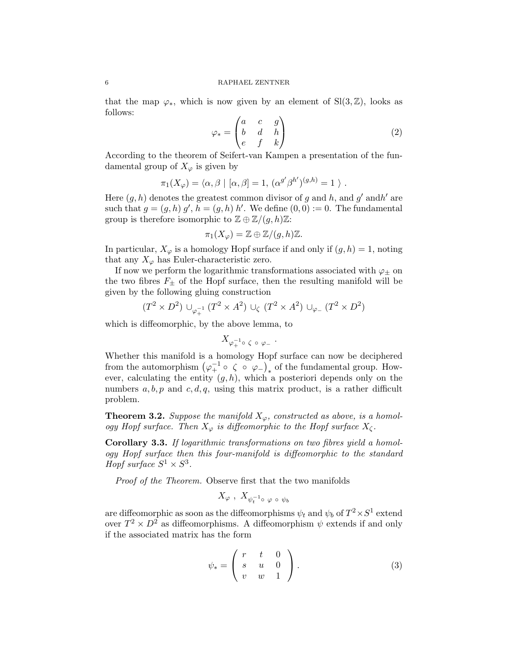that the map  $\varphi_*$ , which is now given by an element of Sl(3, Z), looks as follows:

$$
\varphi_* = \begin{pmatrix} a & c & g \\ b & d & h \\ e & f & k \end{pmatrix}
$$
 (2)

According to the theorem of Seifert-van Kampen a presentation of the fundamental group of  $X_{\varphi}$  is given by

$$
\pi_1(X_{\varphi}) = \langle \alpha, \beta | [\alpha, \beta] = 1, (\alpha^{g'}\beta^{h'})^{(g,h)} = 1 \rangle.
$$

Here  $(g, h)$  denotes the greatest common divisor of g and h, and g' and h' are such that  $g = (g, h) g', h = (g, h) h'$ . We define  $(0, 0) := 0$ . The fundamental group is therefore isomorphic to  $\mathbb{Z} \oplus \mathbb{Z}/(q,h)\mathbb{Z}$ :

$$
\pi_1(X_{\varphi})=\mathbb{Z}\oplus\mathbb{Z}/(g,h)\mathbb{Z}.
$$

In particular,  $X_{\varphi}$  is a homology Hopf surface if and only if  $(g, h) = 1$ , noting that any  $X_{\varphi}$  has Euler-characteristic zero.

If now we perform the logarithmic transformations associated with  $\varphi_{\pm}$  on the two fibres  $F_{\pm}$  of the Hopf surface, then the resulting manifold will be given by the following gluing construction

$$
(T^2 \times D^2) \cup_{\varphi_+^{-1}} (T^2 \times A^2) \cup_{\zeta} (T^2 \times A^2) \cup_{\varphi_-} (T^2 \times D^2)
$$

which is diffeomorphic, by the above lemma, to

$$
X_{\varphi_{+}^{-1}\circ\;\zeta\;\circ\;\varphi_{-}}
$$

.

Whether this manifold is a homology Hopf surface can now be deciphered from the automorphism  $(\varphi_+^{-1} \circ \zeta \circ \varphi_-)_*$  of the fundamental group. However, calculating the entity  $(g, h)$ , which a posteriori depends only on the numbers  $a, b, p$  and  $c, d, q$ , using this matrix product, is a rather difficult problem.

**Theorem 3.2.** Suppose the manifold  $X_{\varphi}$ , constructed as above, is a homology Hopf surface. Then  $X_{\varphi}$  is diffeomorphic to the Hopf surface  $X_{\zeta}$ .

Corollary 3.3. If logarithmic transformations on two fibres yield a homology Hopf surface then this four-manifold is diffeomorphic to the standard Hopf surface  $S^1 \times S^3$ .

Proof of the Theorem. Observe first that the two manifolds

$$
X_\varphi \ , \ X_{\psi_t^{-1} \circ \ \varphi \ \circ \ \psi_b}
$$

are diffeomorphic as soon as the diffeomorphisms  $\psi_t$  and  $\psi_b$  of  $T^2 \times S^1$  extend over  $T^2 \times D^2$  as diffeomorphisms. A diffeomorphism  $\psi$  extends if and only if the associated matrix has the form

$$
\psi_* = \left( \begin{array}{ccc} r & t & 0 \\ s & u & 0 \\ v & w & 1 \end{array} \right). \tag{3}
$$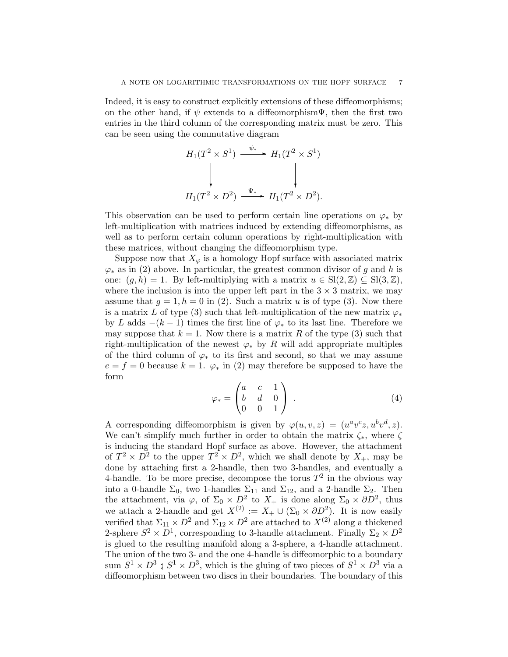Indeed, it is easy to construct explicitly extensions of these diffeomorphisms; on the other hand, if  $\psi$  extends to a diffeomorphism $\Psi$ , then the first two entries in the third column of the corresponding matrix must be zero. This can be seen using the commutative diagram

$$
H_1(T^2 \times S^1) \xrightarrow{\psi_*} H_1(T^2 \times S^1)
$$
\n
$$
H_1(T^2 \times D^2) \xrightarrow{\Psi_*} H_1(T^2 \times D^2).
$$

This observation can be used to perform certain line operations on  $\varphi_*$  by left-multiplication with matrices induced by extending diffeomorphisms, as well as to perform certain column operations by right-multiplication with these matrices, without changing the diffeomorphism type.

Suppose now that  $X_{\varphi}$  is a homology Hopf surface with associated matrix  $\varphi_*$  as in (2) above. In particular, the greatest common divisor of g and h is one:  $(q, h) = 1$ . By left-multiplying with a matrix  $u \in \text{Sl}(2, \mathbb{Z}) \subset \text{Sl}(3, \mathbb{Z})$ , where the inclusion is into the upper left part in the  $3 \times 3$  matrix, we may assume that  $g = 1, h = 0$  in (2). Such a matrix u is of type (3). Now there is a matrix L of type (3) such that left-multiplication of the new matrix  $\varphi_*$ by L adds  $-(k-1)$  times the first line of  $\varphi_*$  to its last line. Therefore we may suppose that  $k = 1$ . Now there is a matrix R of the type (3) such that right-multiplication of the newest  $\varphi_*$  by R will add appropriate multiples of the third column of  $\varphi_*$  to its first and second, so that we may assume  $e = f = 0$  because  $k = 1$ .  $\varphi_*$  in (2) may therefore be supposed to have the form

$$
\varphi_* = \begin{pmatrix} a & c & 1 \\ b & d & 0 \\ 0 & 0 & 1 \end{pmatrix} . \tag{4}
$$

A corresponding diffeomorphism is given by  $\varphi(u, v, z) = (u^a v^c z, u^b v^d, z)$ . We can't simplify much further in order to obtain the matrix  $\zeta_*$ , where  $\zeta$ is inducing the standard Hopf surface as above. However, the attachment of  $T^2 \times D^2$  to the upper  $T^2 \times D^2$ , which we shall denote by  $X_+$ , may be done by attaching first a 2-handle, then two 3-handles, and eventually a 4-handle. To be more precise, decompose the torus  $T^2$  in the obvious way into a 0-handle  $\Sigma_0$ , two 1-handles  $\Sigma_{11}$  and  $\Sigma_{12}$ , and a 2-handle  $\Sigma_2$ . Then the attachment, via  $\varphi$ , of  $\Sigma_0 \times D^2$  to  $X_+$  is done along  $\Sigma_0 \times \partial D^2$ , thus we attach a 2-handle and get  $X^{(2)} := X_+ \cup (\Sigma_0 \times \partial D^2)$ . It is now easily verified that  $\Sigma_{11} \times D^2$  and  $\Sigma_{12} \times D^2$  are attached to  $X^{(2)}$  along a thickened 2-sphere  $S^2 \times D^1$ , corresponding to 3-handle attachment. Finally  $\Sigma_2 \times D^2$ is glued to the resulting manifold along a 3-sphere, a 4-handle attachment. The union of the two 3- and the one 4-handle is diffeomorphic to a boundary sum  $S^1 \times D^3 \nightharpoonup S^1 \times D^3$ , which is the gluing of two pieces of  $S^1 \times D^3$  via a diffeomorphism between two discs in their boundaries. The boundary of this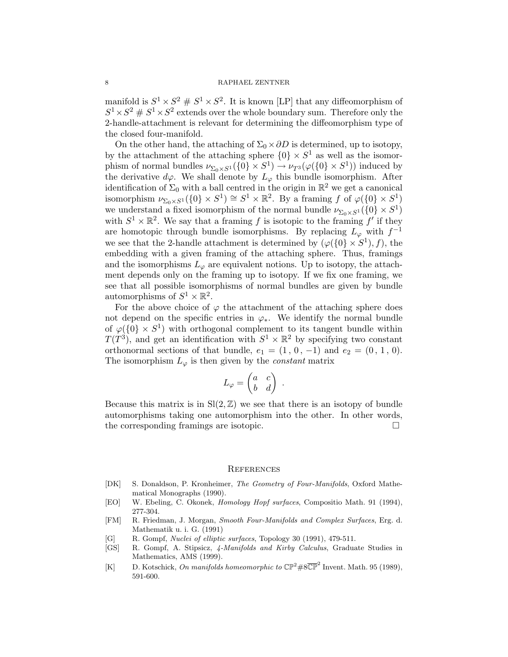### 8 RAPHAEL ZENTNER

manifold is  $S^1 \times S^2 \# S^1 \times S^2$ . It is known [LP] that any diffeomorphism of  $S^1 \times S^2 \# S^1 \times S^2$  extends over the whole boundary sum. Therefore only the 2-handle-attachment is relevant for determining the diffeomorphism type of the closed four-manifold.

On the other hand, the attaching of  $\Sigma_0 \times \partial D$  is determined, up to isotopy, by the attachment of the attaching sphere  $\{0\} \times S^1$  as well as the isomorphism of normal bundles  $\nu_{\Sigma_0 \times S^1}(\{0\} \times S^1) \to \nu_{T^3}(\varphi(\{0\} \times S^1))$  induced by the derivative  $d\varphi$ . We shall denote by  $L_{\varphi}$  this bundle isomorphism. After identification of  $\Sigma_0$  with a ball centred in the origin in  $\mathbb{R}^2$  we get a canonical isomorphism  $\nu_{\Sigma_0 \times S^1}(\{0\} \times S^1) \cong S^1 \times \mathbb{R}^2$ . By a framing f of  $\varphi(\{0\} \times S^1)$ we understand a fixed isomorphism of the normal bundle  $\nu_{\Sigma_0 \times S^1}(\{0\} \times S^1)$ with  $S^1 \times \mathbb{R}^2$ . We say that a framing f is isotopic to the framing f' if they are homotopic through bundle isomorphisms. By replacing  $L_{\varphi}$  with  $f^{-1}$ we see that the 2-handle attachment is determined by  $(\varphi({0} \times S^1), f)$ , the embedding with a given framing of the attaching sphere. Thus, framings and the isomorphisms  $L_{\varphi}$  are equivalent notions. Up to isotopy, the attachment depends only on the framing up to isotopy. If we fix one framing, we see that all possible isomorphisms of normal bundles are given by bundle automorphisms of  $S^1 \times \mathbb{R}^2$ .

For the above choice of  $\varphi$  the attachment of the attaching sphere does not depend on the specific entries in  $\varphi_*$ . We identify the normal bundle of  $\varphi({0} \times S^1)$  with orthogonal complement to its tangent bundle within  $T(T^3)$ , and get an identification with  $S^1 \times \mathbb{R}^2$  by specifying two constant orthonormal sections of that bundle,  $e_1 = (1, 0, -1)$  and  $e_2 = (0, 1, 0)$ . The isomorphism  $L_{\varphi}$  is then given by the *constant* matrix

$$
L_{\varphi} = \begin{pmatrix} a & c \\ b & d \end{pmatrix} .
$$

Because this matrix is in  $\text{Sl}(2,\mathbb{Z})$  we see that there is an isotopy of bundle automorphisms taking one automorphism into the other. In other words, the corresponding framings are isotopic.

## **REFERENCES**

- [DK] S. Donaldson, P. Kronheimer, The Geometry of Four-Manifolds, Oxford Mathematical Monographs (1990).
- [EO] W. Ebeling, C. Okonek, Homology Hopf surfaces, Compositio Math. 91 (1994), 277-304.
- [FM] R. Friedman, J. Morgan, Smooth Four-Manifolds and Complex Surfaces, Erg. d. Mathematik u. i. G. (1991)
- [G] R. Gompf, *Nuclei of elliptic surfaces*, Topology 30 (1991), 479-511.
- [GS] R. Gompf, A. Stipsicz, 4-Manifolds and Kirby Calculus, Graduate Studies in Mathematics, AMS (1999).
- [K] D. Kotschick, On manifolds homeomorphic to  $\mathbb{CP}^2 \# 8 \overline{\mathbb{CP}}^2$  Invent. Math. 95 (1989), 591-600.